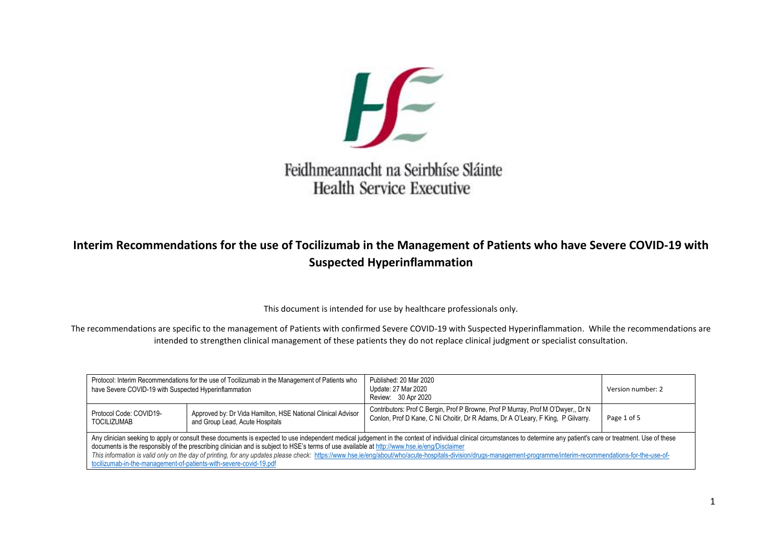

# Feidhmeannacht na Seirbhíse Sláinte **Health Service Executive**

# **Interim Recommendations for the use of Tocilizumab in the Management of Patients who have Severe COVID-19 with Suspected Hyperinflammation**

This document is intended for use by healthcare professionals only.

The recommendations are specific to the management of Patients with confirmed Severe COVID-19 with Suspected Hyperinflammation. While the recommendations are intended to strengthen clinical management of these patients they do not replace clinical judgment or specialist consultation.

| Protocol: Interim Recommendations for the use of Tocilizumab in the Management of Patients who<br>have Severe COVID-19 with Suspected Hyperinflammation                                                                                                                                                                                                                                                                                                                                                                                                                                                                                                              |                                                                                                 | Published: 20 Mar 2020<br>Update: 27 Mar 2020<br>Review: 30 Apr 2020                                                                                                 | Version number: 2 |  |  |
|----------------------------------------------------------------------------------------------------------------------------------------------------------------------------------------------------------------------------------------------------------------------------------------------------------------------------------------------------------------------------------------------------------------------------------------------------------------------------------------------------------------------------------------------------------------------------------------------------------------------------------------------------------------------|-------------------------------------------------------------------------------------------------|----------------------------------------------------------------------------------------------------------------------------------------------------------------------|-------------------|--|--|
| Protocol Code: COVID19-<br><b>TOCILIZUMAB</b>                                                                                                                                                                                                                                                                                                                                                                                                                                                                                                                                                                                                                        | Approved by: Dr Vida Hamilton, HSE National Clinical Advisor<br>and Group Lead, Acute Hospitals | Contributors: Prof C Bergin, Prof P Browne, Prof P Murray, Prof M O'Dwyer,, Dr N<br>Conlon, Prof D Kane, C Ní Choitir, Dr R Adams, Dr A O'Leary, F King, P Gilvarry. | Page 1 of 5       |  |  |
| Any clinician seeking to apply or consult these documents is expected to use independent medical judgement in the context of individual clinical circumstances to determine any patient's care or treatment. Use of these<br>documents is the responsibly of the prescribing clinician and is subject to HSE's terms of use available at http://www.hse.ie/eng/Disclaimer<br>This information is valid only on the day of printing, for any updates please check: https://www.hse.ie/eng/about/who/acute-hospitals-division/drugs-management-programme/interim-recommendations-for-the-use-of-<br>tocilizumab-in-the-management-of-patients-with-severe-covid-19.pdf |                                                                                                 |                                                                                                                                                                      |                   |  |  |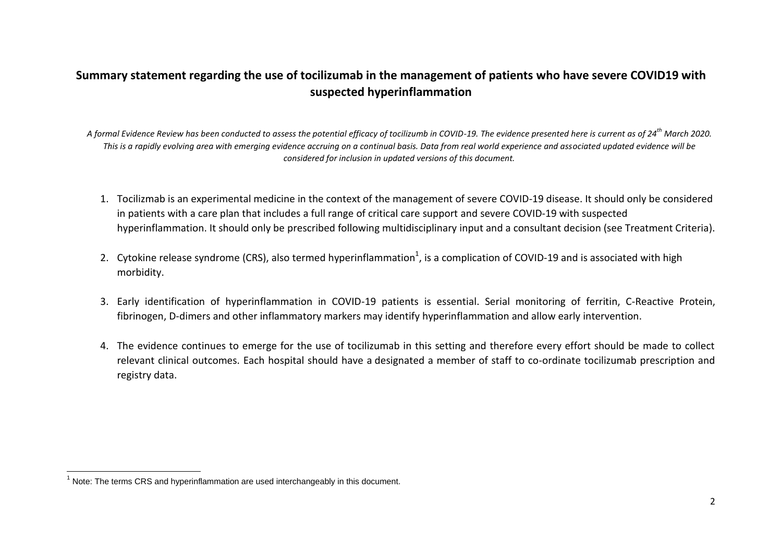### **Summary statement regarding the use of tocilizumab in the management of patients who have severe COVID19 with suspected hyperinflammation**

*A formal Evidence Review has been conducted to assess the potential efficacy of tocilizumb in COVID-19. The evidence presented here is current as of 24th March 2020. This is a rapidly evolving area with emerging evidence accruing on a continual basis. Data from real world experience and associated updated evidence will be considered for inclusion in updated versions of this document.*

- 1. Tocilizmab is an experimental medicine in the context of the management of severe COVID-19 disease. It should only be considered in patients with a care plan that includes a full range of critical care support and severe COVID-19 with suspected hyperinflammation. It should only be prescribed following multidisciplinary input and a consultant decision (see Treatment Criteria).
- 2. Cytokine release syndrome (CRS), also termed hyperinflammation<sup>1</sup>, is a complication of COVID-19 and is associated with high morbidity.
- 3. Early identification of hyperinflammation in COVID-19 patients is essential. Serial monitoring of ferritin, C-Reactive Protein, fibrinogen, D-dimers and other inflammatory markers may identify hyperinflammation and allow early intervention.
- 4. The evidence continues to emerge for the use of tocilizumab in this setting and therefore every effort should be made to collect relevant clinical outcomes. Each hospital should have a designated a member of staff to co-ordinate tocilizumab prescription and registry data.

 $\overline{\phantom{a}}$ 

 $1$  Note: The terms CRS and hyperinflammation are used interchangeably in this document.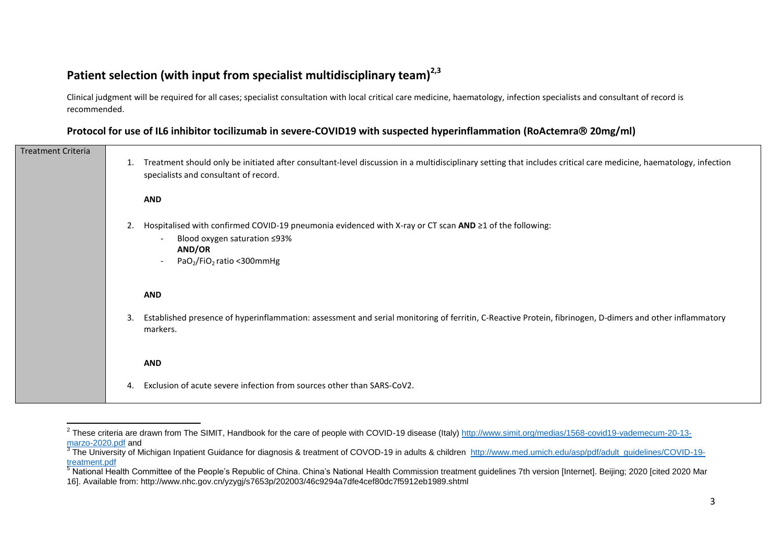## **Patient selection (with input from specialist multidisciplinary team)2,3**

Clinical judgment will be required for all cases; specialist consultation with local critical care medicine, haematology, infection specialists and consultant of record is recommended.

#### **Protocol for use of IL6 inhibitor** *tocilizumab* **in severe-COVID19 with suspected hyperinflammation (RoActemra® 20mg/ml)**

| <b>Treatment Criteria</b> | 1. | Treatment should only be initiated after consultant-level discussion in a multidisciplinary setting that includes critical care medicine, haematology, infection<br>specialists and consultant of record.                          |
|---------------------------|----|------------------------------------------------------------------------------------------------------------------------------------------------------------------------------------------------------------------------------------|
|                           |    | <b>AND</b>                                                                                                                                                                                                                         |
|                           | 2. | Hospitalised with confirmed COVID-19 pneumonia evidenced with X-ray or CT scan AND ≥1 of the following:<br>Blood oxygen saturation ≤93%<br>$\overline{\phantom{a}}$<br>AND/OR<br>PaO <sub>2</sub> /FiO <sub>2</sub> ratio <300mmHg |
|                           |    | <b>AND</b>                                                                                                                                                                                                                         |
|                           | 3. | Established presence of hyperinflammation: assessment and serial monitoring of ferritin, C-Reactive Protein, fibrinogen, D-dimers and other inflammatory<br>markers.                                                               |
|                           |    | <b>AND</b>                                                                                                                                                                                                                         |
|                           | 4. | Exclusion of acute severe infection from sources other than SARS-CoV2.                                                                                                                                                             |

 2 These criteria are drawn from The SIMIT, Handbook for the care of people with COVID-19 disease (Italy) [http://www.simit.org/medias/1568-covid19-vademecum-20-13](http://www.simit.org/medias/1568-covid19-vademecum-20-13-marzo-2020.pdf) [marzo-2020.pdf](http://www.simit.org/medias/1568-covid19-vademecum-20-13-marzo-2020.pdf) and

<sup>&</sup>lt;sup>3</sup> The University of Michigan Inpatient Guidance for diagnosis & treatment of COVOD-19 in adults & children [http://www.med.umich.edu/asp/pdf/adult\\_guidelines/COVID-19](http://www.med.umich.edu/asp/pdf/adult_guidelines/COVID-19-treatment.pdf) [treatment.pdf](http://www.med.umich.edu/asp/pdf/adult_guidelines/COVID-19-treatment.pdf)

<sup>5</sup> National Health Committee of the People's Republic of China. China's National Health Commission treatment guidelines 7th version [Internet]. Beijing; 2020 [cited 2020 Mar 16]. Available from: http://www.nhc.gov.cn/yzygj/s7653p/202003/46c9294a7dfe4cef80dc7f5912eb1989.shtml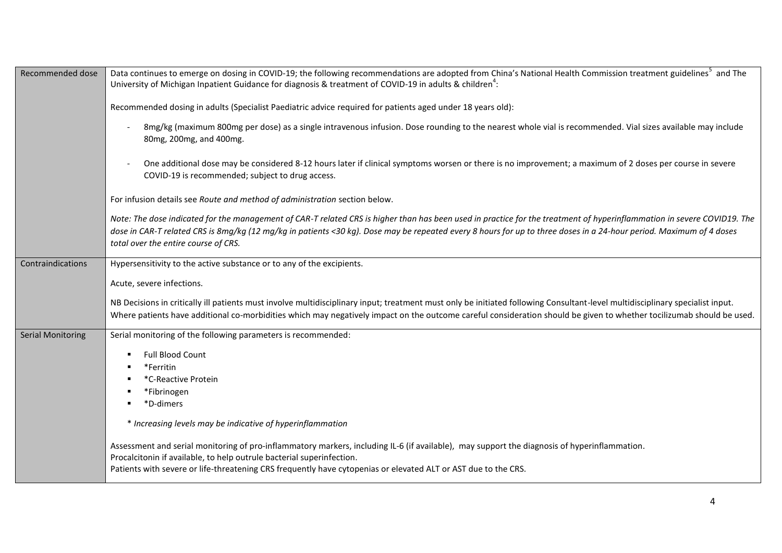| Recommended dose         | Data continues to emerge on dosing in COVID-19; the following recommendations are adopted from China's National Health Commission treatment guidelines <sup>5</sup> and The<br>University of Michigan Inpatient Guidance for diagnosis & treatment of COVID-19 in adults & children <sup>4</sup> :                                                                                     |  |  |  |
|--------------------------|----------------------------------------------------------------------------------------------------------------------------------------------------------------------------------------------------------------------------------------------------------------------------------------------------------------------------------------------------------------------------------------|--|--|--|
|                          | Recommended dosing in adults (Specialist Paediatric advice required for patients aged under 18 years old):                                                                                                                                                                                                                                                                             |  |  |  |
|                          | 8mg/kg (maximum 800mg per dose) as a single intravenous infusion. Dose rounding to the nearest whole vial is recommended. Vial sizes available may include<br>80mg, 200mg, and 400mg.                                                                                                                                                                                                  |  |  |  |
|                          | One additional dose may be considered 8-12 hours later if clinical symptoms worsen or there is no improvement; a maximum of 2 doses per course in severe<br>COVID-19 is recommended; subject to drug access.                                                                                                                                                                           |  |  |  |
|                          | For infusion details see Route and method of administration section below.                                                                                                                                                                                                                                                                                                             |  |  |  |
|                          | Note: The dose indicated for the management of CAR-T related CRS is higher than has been used in practice for the treatment of hyperinflammation in severe COVID19. The<br>dose in CAR-T related CRS is 8mg/kg (12 mg/kg in patients <30 kg). Dose may be repeated every 8 hours for up to three doses in a 24-hour period. Maximum of 4 doses<br>total over the entire course of CRS. |  |  |  |
| Contraindications        | Hypersensitivity to the active substance or to any of the excipients.                                                                                                                                                                                                                                                                                                                  |  |  |  |
|                          | Acute, severe infections.                                                                                                                                                                                                                                                                                                                                                              |  |  |  |
|                          | NB Decisions in critically ill patients must involve multidisciplinary input; treatment must only be initiated following Consultant-level multidisciplinary specialist input.<br>Where patients have additional co-morbidities which may negatively impact on the outcome careful consideration should be given to whether tocilizumab should be used.                                 |  |  |  |
| <b>Serial Monitoring</b> | Serial monitoring of the following parameters is recommended:                                                                                                                                                                                                                                                                                                                          |  |  |  |
|                          | Full Blood Count<br>*Ferritin<br>*C-Reactive Protein<br>*Fibrinogen<br>*D-dimers                                                                                                                                                                                                                                                                                                       |  |  |  |
|                          | * Increasing levels may be indicative of hyperinflammation                                                                                                                                                                                                                                                                                                                             |  |  |  |
|                          | Assessment and serial monitoring of pro-inflammatory markers, including IL-6 (if available), may support the diagnosis of hyperinflammation.<br>Procalcitonin if available, to help outrule bacterial superinfection.<br>Patients with severe or life-threatening CRS frequently have cytopenias or elevated ALT or AST due to the CRS.                                                |  |  |  |